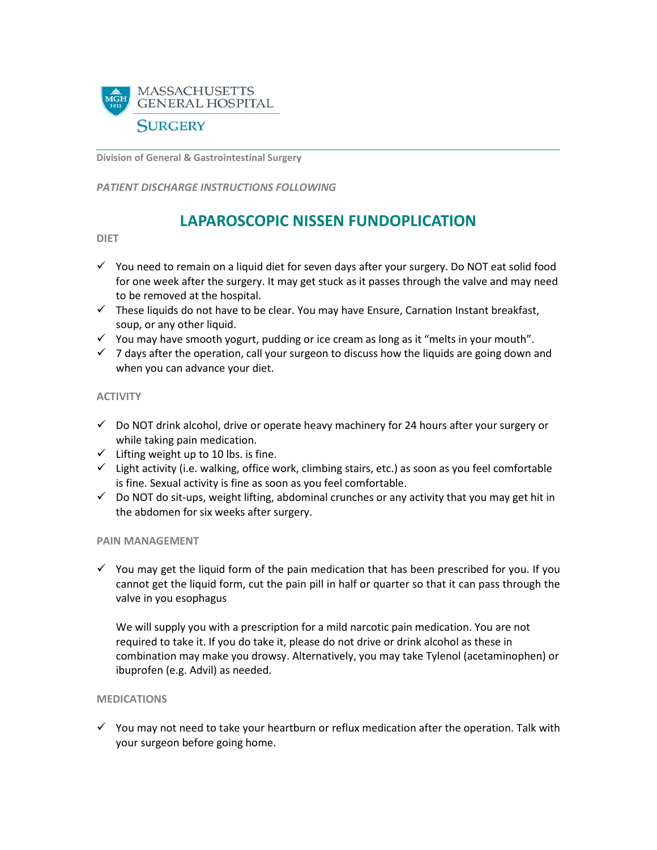

**Division of General & Gastrointestinal Surgery**

*PATIENT DISCHARGE INSTRUCTIONS FOLLOWING* 

# **LAPAROSCOPIC NISSEN FUNDOPLICATION**

#### **DIET**

- $\checkmark$  You need to remain on a liquid diet for seven days after your surgery. Do NOT eat solid food for one week after the surgery. It may get stuck as it passes through the valve and may need to be removed at the hospital.
- $\checkmark$  These liquids do not have to be clear. You may have Ensure, Carnation Instant breakfast, soup, or any other liquid.
- $\checkmark$  You may have smooth yogurt, pudding or ice cream as long as it "melts in your mouth".
- $\checkmark$  7 days after the operation, call your surgeon to discuss how the liquids are going down and when you can advance your diet.

## **ACTIVITY**

- $\checkmark$  Do NOT drink alcohol, drive or operate heavy machinery for 24 hours after your surgery or while taking pain medication.
- $\checkmark$  Lifting weight up to 10 lbs. is fine.
- $\checkmark$  Light activity (i.e. walking, office work, climbing stairs, etc.) as soon as you feel comfortable is fine. Sexual activity is fine as soon as you feel comfortable.
- $\checkmark$  Do NOT do sit-ups, weight lifting, abdominal crunches or any activity that you may get hit in the abdomen for six weeks after surgery.

### **PAIN MANAGEMENT**

 $\checkmark$  You may get the liquid form of the pain medication that has been prescribed for you. If you cannot get the liquid form, cut the pain pill in half or quarter so that it can pass through the valve in you esophagus

We will supply you with a prescription for a mild narcotic pain medication. You are not required to take it. If you do take it, please do not drive or drink alcohol as these in combination may make you drowsy. Alternatively, you may take Tylenol (acetaminophen) or ibuprofen (e.g. Advil) as needed.

### **MEDICATIONS**

 $\checkmark$  You may not need to take your heartburn or reflux medication after the operation. Talk with your surgeon before going home.